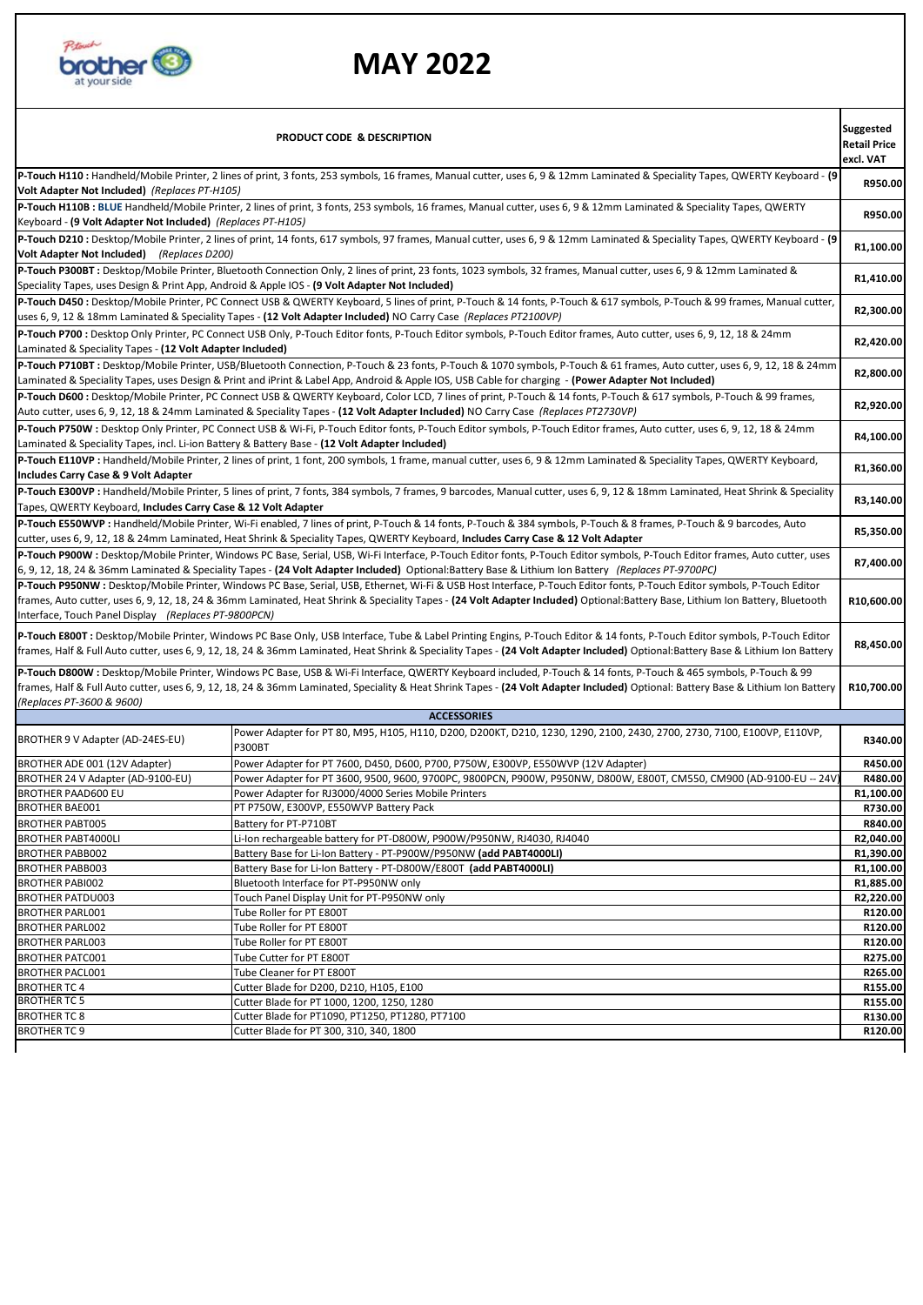

## **MAY 2022**

| <b>Suggested</b><br>PRODUCT CODE & DESCRIPTION<br><b>Retail Price</b><br>excl. VAT                                                                                                                                                                                                                                                                                                                                  |                                                                                                                                                                          |                      |  |  |  |  |  |  |
|---------------------------------------------------------------------------------------------------------------------------------------------------------------------------------------------------------------------------------------------------------------------------------------------------------------------------------------------------------------------------------------------------------------------|--------------------------------------------------------------------------------------------------------------------------------------------------------------------------|----------------------|--|--|--|--|--|--|
| P-Touch H110 : Handheld/Mobile Printer, 2 lines of print, 3 fonts, 253 symbols, 16 frames, Manual cutter, uses 6, 9 & 12mm Laminated & Speciality Tapes, QWERTY Keyboard - (9<br>Volt Adapter Not Included) (Replaces PT-H105)                                                                                                                                                                                      |                                                                                                                                                                          |                      |  |  |  |  |  |  |
| P-Touch H110B: BLUE Handheld/Mobile Printer, 2 lines of print, 3 fonts, 253 symbols, 16 frames, Manual cutter, uses 6, 9 & 12mm Laminated & Speciality Tapes, QWERTY<br>Keyboard - (9 Volt Adapter Not Included) (Replaces PT-H105)                                                                                                                                                                                 |                                                                                                                                                                          |                      |  |  |  |  |  |  |
| P-Touch D210 : Desktop/Mobile Printer, 2 lines of print, 14 fonts, 617 symbols, 97 frames, Manual cutter, uses 6, 9 & 12mm Laminated & Speciality Tapes, QWERTY Keyboard - (9<br>Volt Adapter Not Included) (Replaces D200)                                                                                                                                                                                         |                                                                                                                                                                          |                      |  |  |  |  |  |  |
| P-Touch P300BT: Desktop/Mobile Printer, Bluetooth Connection Only, 2 lines of print, 23 fonts, 1023 symbols, 32 frames, Manual cutter, uses 6, 9 & 12mm Laminated &                                                                                                                                                                                                                                                 |                                                                                                                                                                          |                      |  |  |  |  |  |  |
|                                                                                                                                                                                                                                                                                                                                                                                                                     | Speciality Tapes, uses Design & Print App, Android & Apple IOS - (9 Volt Adapter Not Included)                                                                           | R1,410.00            |  |  |  |  |  |  |
| P-Touch D450 : Desktop/Mobile Printer, PC Connect USB & QWERTY Keyboard, 5 lines of print, P-Touch & 14 fonts, P-Touch & 617 symbols, P-Touch & 99 frames, Manual cutter,<br>uses 6, 9, 12 & 18mm Laminated & Speciality Tapes - (12 Volt Adapter Included) NO Carry Case (Replaces PT2100VP)                                                                                                                       |                                                                                                                                                                          |                      |  |  |  |  |  |  |
| P-Touch P700 : Desktop Only Printer, PC Connect USB Only, P-Touch Editor fonts, P-Touch Editor symbols, P-Touch Editor frames, Auto cutter, uses 6, 9, 12, 18 & 24mm<br>Laminated & Speciality Tapes - (12 Volt Adapter Included)                                                                                                                                                                                   |                                                                                                                                                                          |                      |  |  |  |  |  |  |
| P-Touch P710BT: Desktop/Mobile Printer, USB/Bluetooth Connection, P-Touch & 23 fonts, P-Touch & 1070 symbols, P-Touch & 61 frames, Auto cutter, uses 6, 9, 12, 18 & 24mm<br>Laminated & Speciality Tapes, uses Design & Print and iPrint & Label App, Android & Apple IOS, USB Cable for charging - (Power Adapter Not Included)                                                                                    |                                                                                                                                                                          |                      |  |  |  |  |  |  |
| P-Touch D600 : Desktop/Mobile Printer, PC Connect USB & QWERTY Keyboard, Color LCD, 7 lines of print, P-Touch & 14 fonts, P-Touch & 617 symbols, P-Touch & 99 frames,<br>Auto cutter, uses 6, 9, 12, 18 & 24mm Laminated & Speciality Tapes - (12 Volt Adapter Included) NO Carry Case (Replaces PT2730VP)                                                                                                          |                                                                                                                                                                          |                      |  |  |  |  |  |  |
| P-Touch P750W : Desktop Only Printer, PC Connect USB & Wi-Fi, P-Touch Editor fonts, P-Touch Editor symbols, P-Touch Editor frames, Auto cutter, uses 6, 9, 12, 18 & 24mm<br>Laminated & Speciality Tapes, incl. Li-ion Battery & Battery Base - (12 Volt Adapter Included)                                                                                                                                          |                                                                                                                                                                          |                      |  |  |  |  |  |  |
|                                                                                                                                                                                                                                                                                                                                                                                                                     | P-Touch E110VP : Handheld/Mobile Printer, 2 lines of print, 1 font, 200 symbols, 1 frame, manual cutter, uses 6, 9 & 12mm Laminated & Speciality Tapes, QWERTY Keyboard, | R1,360.00            |  |  |  |  |  |  |
| Includes Carry Case & 9 Volt Adapter                                                                                                                                                                                                                                                                                                                                                                                |                                                                                                                                                                          |                      |  |  |  |  |  |  |
| P-Touch E300VP : Handheld/Mobile Printer, 5 lines of print, 7 fonts, 384 symbols, 7 frames, 9 barcodes, Manual cutter, uses 6, 9, 12 & 18mm Laminated, Heat Shrink & Speciality<br>Tapes, QWERTY Keyboard, Includes Carry Case & 12 Volt Adapter                                                                                                                                                                    |                                                                                                                                                                          |                      |  |  |  |  |  |  |
| P-Touch E550WVP : Handheld/Mobile Printer, Wi-Fi enabled, 7 lines of print, P-Touch & 14 fonts, P-Touch & 384 symbols, P-Touch & 8 frames, P-Touch & 9 barcodes, Auto<br>cutter, uses 6, 9, 12, 18 & 24mm Laminated, Heat Shrink & Speciality Tapes, QWERTY Keyboard, Includes Carry Case & 12 Volt Adapter                                                                                                         |                                                                                                                                                                          |                      |  |  |  |  |  |  |
| P-Touch P900W : Desktop/Mobile Printer, Windows PC Base, Serial, USB, Wi-Fi Interface, P-Touch Editor fonts, P-Touch Editor symbols, P-Touch Editor frames, Auto cutter, uses<br>6, 9, 12, 18, 24 & 36mm Laminated & Speciality Tapes - (24 Volt Adapter Included) Optional:Battery Base & Lithium Ion Battery (Replaces PT-9700PC)                                                                                 |                                                                                                                                                                          |                      |  |  |  |  |  |  |
| P-Touch P950NW : Desktop/Mobile Printer, Windows PC Base, Serial, USB, Ethernet, Wi-Fi & USB Host Interface, P-Touch Editor fonts, P-Touch Editor symbols, P-Touch Editor<br>frames, Auto cutter, uses 6, 9, 12, 18, 24 & 36mm Laminated, Heat Shrink & Speciality Tapes - (24 Volt Adapter Included) Optional:Battery Base, Lithium Ion Battery, Bluetooth<br>Interface, Touch Panel Display (Replaces PT-9800PCN) |                                                                                                                                                                          |                      |  |  |  |  |  |  |
| P-Touch E800T: Desktop/Mobile Printer, Windows PC Base Only, USB Interface, Tube & Label Printing Engins, P-Touch Editor & 14 fonts, P-Touch Editor symbols, P-Touch Editor<br>frames, Half & Full Auto cutter, uses 6, 9, 12, 18, 24 & 36mm Laminated, Heat Shrink & Speciality Tapes - (24 Volt Adapter Included) Optional:Battery Base & Lithium Ion Battery                                                     |                                                                                                                                                                          |                      |  |  |  |  |  |  |
| P-Touch D800W: Desktop/Mobile Printer, Windows PC Base, USB & Wi-Fi Interface, QWERTY Keyboard included, P-Touch & 14 fonts, P-Touch & 465 symbols, P-Touch & 99<br>frames, Half & Full Auto cutter, uses 6, 9, 12, 18, 24 & 36mm Laminated, Speciality & Heat Shrink Tapes - (24 Volt Adapter Included) Optional: Battery Base & Lithium Ion Battery<br>(Replaces PT-3600 & 9600)                                  |                                                                                                                                                                          |                      |  |  |  |  |  |  |
|                                                                                                                                                                                                                                                                                                                                                                                                                     | <b>ACCESSORIES</b>                                                                                                                                                       |                      |  |  |  |  |  |  |
| BROTHER 9 V Adapter (AD-24ES-EU)                                                                                                                                                                                                                                                                                                                                                                                    | Power Adapter for PT 80, M95, H105, H110, D200, D200KT, D210, 1230, 1290, 2100, 2430, 2700, 2730, 7100, E100VP, E110VP,<br><b>P300BT</b>                                 | R340.00              |  |  |  |  |  |  |
| BROTHER ADE 001 (12V Adapter)                                                                                                                                                                                                                                                                                                                                                                                       | Power Adapter for PT 7600, D450, D600, P700, P750W, E300VP, E550WVP (12V Adapter)                                                                                        | R450.00              |  |  |  |  |  |  |
| BROTHER 24 V Adapter (AD-9100-EU)                                                                                                                                                                                                                                                                                                                                                                                   | Power Adapter for PT 3600, 9500, 9600, 9700PC, 9800PCN, P900W, P950NW, D800W, E800T, CM550, CM900 (AD-9100-EU -- 24V                                                     | R480.00              |  |  |  |  |  |  |
| <b>BROTHER PAAD600 EU</b>                                                                                                                                                                                                                                                                                                                                                                                           | Power Adapter for RJ3000/4000 Series Mobile Printers                                                                                                                     | R1,100.00            |  |  |  |  |  |  |
| <b>BROTHER BAE001</b>                                                                                                                                                                                                                                                                                                                                                                                               | PT P750W, E300VP, E550WVP Battery Pack                                                                                                                                   | R730.00              |  |  |  |  |  |  |
| <b>BROTHER PABT005</b>                                                                                                                                                                                                                                                                                                                                                                                              | Battery for PT-P710BT                                                                                                                                                    | R840.00<br>R2,040.00 |  |  |  |  |  |  |
| <b>BROTHER PABT4000LI</b><br><b>BROTHER PABB002</b>                                                                                                                                                                                                                                                                                                                                                                 | Li-Ion rechargeable battery for PT-D800W, P900W/P950NW, RJ4030, RJ4040<br>Battery Base for Li-Ion Battery - PT-P900W/P950NW (add PABT4000LI)                             | R1,390.00            |  |  |  |  |  |  |
| <b>BROTHER PABB003</b>                                                                                                                                                                                                                                                                                                                                                                                              | Battery Base for Li-Ion Battery - PT-D800W/E800T (add PABT4000LI)                                                                                                        | R1,100.00            |  |  |  |  |  |  |
| <b>BROTHER PABIO02</b>                                                                                                                                                                                                                                                                                                                                                                                              | Bluetooth Interface for PT-P950NW only                                                                                                                                   | R1,885.00            |  |  |  |  |  |  |
| <b>BROTHER PATDU003</b>                                                                                                                                                                                                                                                                                                                                                                                             | Touch Panel Display Unit for PT-P950NW only                                                                                                                              | R2,220.00            |  |  |  |  |  |  |
| <b>BROTHER PARL001</b>                                                                                                                                                                                                                                                                                                                                                                                              | Tube Roller for PT E800T                                                                                                                                                 | R120.00              |  |  |  |  |  |  |
| <b>BROTHER PARL002</b>                                                                                                                                                                                                                                                                                                                                                                                              | Tube Roller for PT E800T                                                                                                                                                 | R120.00              |  |  |  |  |  |  |
| <b>BROTHER PARL003</b>                                                                                                                                                                                                                                                                                                                                                                                              | Tube Roller for PT E800T                                                                                                                                                 | R120.00              |  |  |  |  |  |  |
| <b>BROTHER PATC001</b>                                                                                                                                                                                                                                                                                                                                                                                              | Tube Cutter for PT E800T                                                                                                                                                 | R275.00              |  |  |  |  |  |  |
| <b>BROTHER PACL001</b>                                                                                                                                                                                                                                                                                                                                                                                              | Tube Cleaner for PT E800T                                                                                                                                                | R265.00              |  |  |  |  |  |  |
| <b>BROTHER TC 4</b>                                                                                                                                                                                                                                                                                                                                                                                                 | Cutter Blade for D200, D210, H105, E100                                                                                                                                  | R155.00              |  |  |  |  |  |  |
| <b>BROTHER TC 5</b>                                                                                                                                                                                                                                                                                                                                                                                                 | Cutter Blade for PT 1000, 1200, 1250, 1280                                                                                                                               | R155.00              |  |  |  |  |  |  |
| <b>BROTHER TC 8</b><br>Cutter Blade for PT1090, PT1250, PT1280, PT7100                                                                                                                                                                                                                                                                                                                                              |                                                                                                                                                                          |                      |  |  |  |  |  |  |
| <b>BROTHER TC 9</b>                                                                                                                                                                                                                                                                                                                                                                                                 | Cutter Blade for PT 300, 310, 340, 1800                                                                                                                                  | R120.00              |  |  |  |  |  |  |